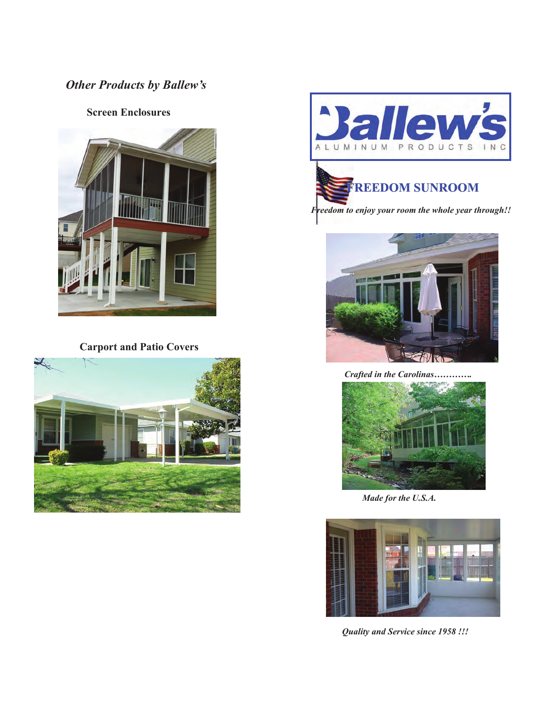## *Other Products by Ballew's Other Products by Ballew's*

## **Screen Enclosures**  **Screen Enclosures**



 **Carport and Patio Covers Carport and Patio Covers** 





## **FREEDOM SUNROOM FREEDOM SUNROOM**

 *Freedom to enjoy your room the whole year through!! Freedom to enjoy your room the whole year through!!* 



 *Crafted in the Carolinas…………. Crafted in the Carolinas………….*



 *Made for the U.S.A. Made for the U.S.A.* 



 *Quality and Service since 1958 !!! Quality and Service since 1958 !!!*